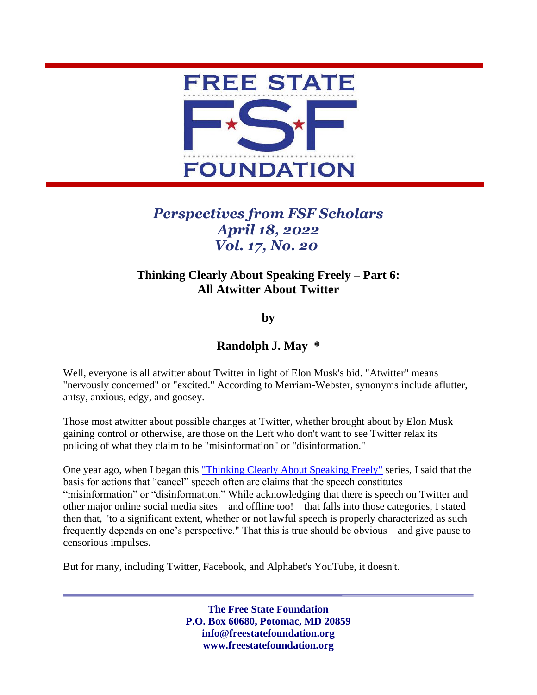

## *Perspectives from FSF Scholars April 18, 2022 Vol. 17, No. 20*

## **Thinking Clearly About Speaking Freely – Part 6: All Atwitter About Twitter**

**by**

## **Randolph J. May \***

Well, everyone is all atwitter about Twitter in light of Elon Musk's bid. "Atwitter" means "nervously concerned" or "excited." According to Merriam-Webster, synonyms include aflutter, antsy, anxious, edgy, and goosey.

Those most atwitter about possible changes at Twitter, whether brought about by Elon Musk gaining control or otherwise, are those on the Left who don't want to see Twitter relax its policing of what they claim to be "misinformation" or "disinformation."

One year ago, when I began this ["Thinking Clearly About Speaking Freely"](https://freestatefoundation.org/wp-content/uploads/2021/04/Thinking-Clearly-About-Speaking-Freely-–-Part-1-041921.pdf) series, I said that the basis for actions that "cancel" speech often are claims that the speech constitutes "misinformation" or "disinformation." While acknowledging that there is speech on Twitter and other major online social media sites – and offline too! – that falls into those categories, I stated then that, "to a significant extent, whether or not lawful speech is properly characterized as such frequently depends on one's perspective." That this is true should be obvious – and give pause to censorious impulses.

But for many, including Twitter, Facebook, and Alphabet's YouTube, it doesn't.

**The Free State Foundation P.O. Box 60680, Potomac, MD 20859 info@freestatefoundation.org www.freestatefoundation.org**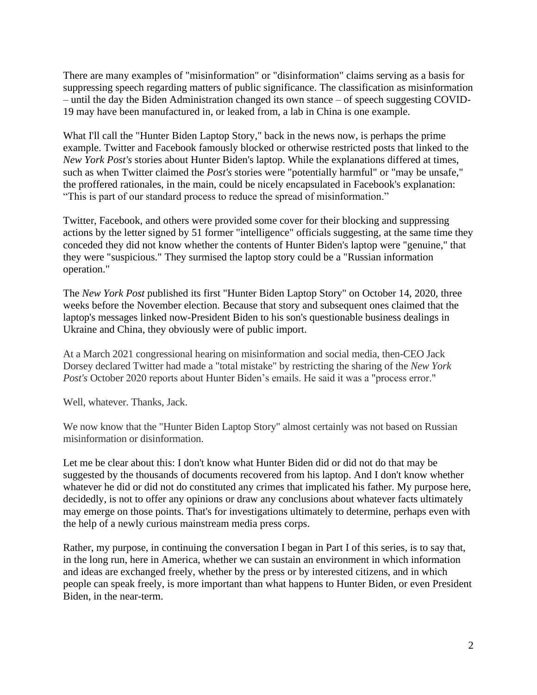There are many examples of "misinformation" or "disinformation" claims serving as a basis for suppressing speech regarding matters of public significance. The classification as misinformation – until the day the Biden Administration changed its own stance – of speech suggesting COVID-19 may have been manufactured in, or leaked from, a lab in China is one example.

What I'll call the "Hunter Biden Laptop Story," back in the news now, is perhaps the prime example. Twitter and Facebook famously blocked or otherwise restricted posts that linked to the *New York Post's* stories about Hunter Biden's laptop. While the explanations differed at times, such as when Twitter claimed the *Post's* stories were "potentially harmful" or "may be unsafe," the proffered rationales, in the main, could be nicely encapsulated in Facebook's explanation: "This is part of our standard process to reduce the spread of misinformation."

Twitter, Facebook, and others were provided some cover for their blocking and suppressing actions by the letter signed by 51 former "intelligence" officials suggesting, at the same time they conceded they did not know whether the contents of Hunter Biden's laptop were "genuine," that they were "suspicious." They surmised the laptop story could be a "Russian information operation."

The *New York Post* published its first "Hunter Biden Laptop Story" on October 14, 2020, three weeks before the November election. Because that story and subsequent ones claimed that the laptop's messages linked now-President Biden to his son's questionable business dealings in Ukraine and China, they obviously were of public import.

At a March 2021 congressional hearing on misinformation and social media, then-CEO Jack Dorsey declared Twitter had made a "total mistake" by restricting the sharing of the *New York Post's* October 2020 reports about Hunter Biden's emails. He said it was a "process error."

Well, whatever. Thanks, Jack.

We now know that the "Hunter Biden Laptop Story" almost certainly was not based on Russian misinformation or disinformation.

Let me be clear about this: I don't know what Hunter Biden did or did not do that may be suggested by the thousands of documents recovered from his laptop. And I don't know whether whatever he did or did not do constituted any crimes that implicated his father. My purpose here, decidedly, is not to offer any opinions or draw any conclusions about whatever facts ultimately may emerge on those points. That's for investigations ultimately to determine, perhaps even with the help of a newly curious mainstream media press corps.

Rather, my purpose, in continuing the conversation I began in Part I of this series, is to say that, in the long run, here in America, whether we can sustain an environment in which information and ideas are exchanged freely, whether by the press or by interested citizens, and in which people can speak freely, is more important than what happens to Hunter Biden, or even President Biden, in the near-term.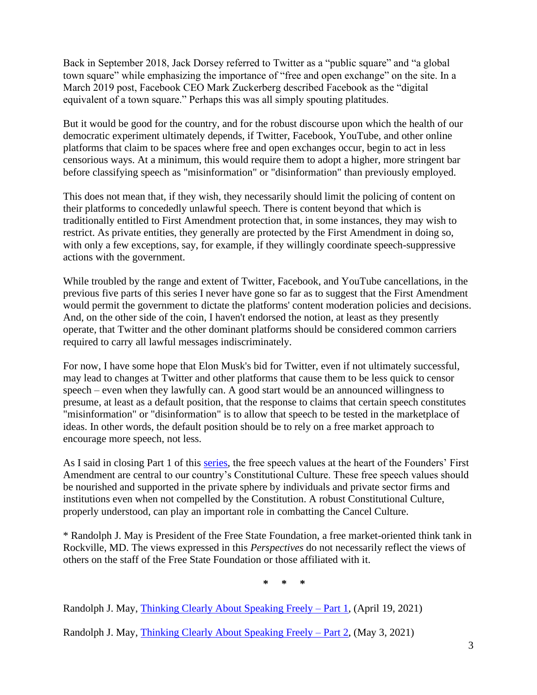Back in September 2018, Jack Dorsey referred to Twitter as a "public square" and "a global town square" while emphasizing the importance of "free and open exchange" on the site. In a March 2019 post, Facebook CEO Mark Zuckerberg described Facebook as the "digital equivalent of a town square." Perhaps this was all simply spouting platitudes.

But it would be good for the country, and for the robust discourse upon which the health of our democratic experiment ultimately depends, if Twitter, Facebook, YouTube, and other online platforms that claim to be spaces where free and open exchanges occur, begin to act in less censorious ways. At a minimum, this would require them to adopt a higher, more stringent bar before classifying speech as "misinformation" or "disinformation" than previously employed.

This does not mean that, if they wish, they necessarily should limit the policing of content on their platforms to concededly unlawful speech. There is content beyond that which is traditionally entitled to First Amendment protection that, in some instances, they may wish to restrict. As private entities, they generally are protected by the First Amendment in doing so, with only a few exceptions, say, for example, if they willingly coordinate speech-suppressive actions with the government.

While troubled by the range and extent of Twitter, Facebook, and YouTube cancellations, in the previous five parts of this series I never have gone so far as to suggest that the First Amendment would permit the government to dictate the platforms' content moderation policies and decisions. And, on the other side of the coin, I haven't endorsed the notion, at least as they presently operate, that Twitter and the other dominant platforms should be considered common carriers required to carry all lawful messages indiscriminately.

For now, I have some hope that Elon Musk's bid for Twitter, even if not ultimately successful, may lead to changes at Twitter and other platforms that cause them to be less quick to censor speech – even when they lawfully can. A good start would be an announced willingness to presume, at least as a default position, that the response to claims that certain speech constitutes "misinformation" or "disinformation" is to allow that speech to be tested in the marketplace of ideas. In other words, the default position should be to rely on a free market approach to encourage more speech, not less.

As I said in closing Part 1 of this [series,](https://freestatefoundation.org/thinking-clearly-about-speaking-freely-2/) the free speech values at the heart of the Founders' First Amendment are central to our country's Constitutional Culture. These free speech values should be nourished and supported in the private sphere by individuals and private sector firms and institutions even when not compelled by the Constitution. A robust Constitutional Culture, properly understood, can play an important role in combatting the Cancel Culture.

\* Randolph J. May is President of the Free State Foundation, a free market-oriented think tank in Rockville, MD. The views expressed in this *Perspectives* do not necessarily reflect the views of others on the staff of the Free State Foundation or those affiliated with it.

**\* \* \***

Randolph J. May, [Thinking Clearly About Speaking Freely](https://freestatefoundation.org/wp-content/uploads/2021/04/Thinking-Clearly-About-Speaking-Freely-–-Part-1-041921.pdf) – Part 1, (April 19, 2021)

Randolph J. May, [Thinking Clearly About Speaking Freely](https://freestatefoundation.org/wp-content/uploads/2021/05/Thinking-Clearly-About-Speaking-Freely-–-Part-2-050321.pdf) – Part 2, (May 3, 2021)